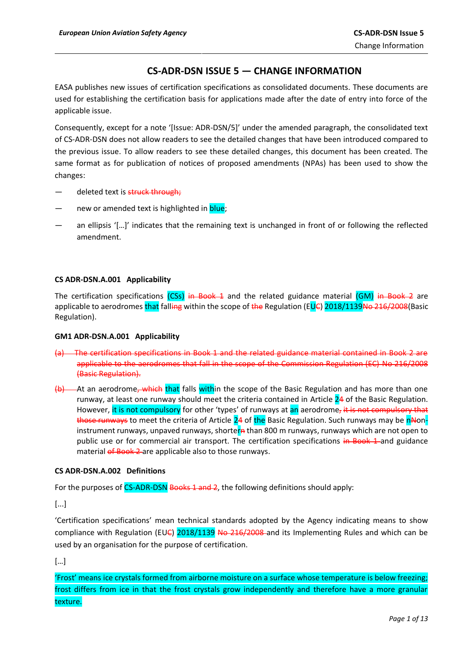# **CS-ADR-DSN ISSUE 5 — CHANGE INFORMATION**

EASA publishes new issues of certification specifications as consolidated documents. These documents are used for establishing the certification basis for applications made after the date of entry into force of the applicable issue.

Consequently, except for a note '[Issue: ADR-DSN/5]' under the amended paragraph, the consolidated text of CS-ADR-DSN does not allow readers to see the detailed changes that have been introduced compared to the previous issue. To allow readers to see these detailed changes, this document has been created. The same format as for publication of notices of proposed amendments (NPAs) has been used to show the changes:

- deleted text is struck through;
- new or amended text is highlighted in blue;
- an ellipsis '[…]' indicates that the remaining text is unchanged in front of or following the reflected amendment.

## **CS ADR-DSN.A.001 Applicability**

The certification specifications  $(CSS)$  in Book 1 and the related guidance material  $(GM)$  in Book 2 are applicable to aerodromes that falling within the scope of the Regulation (EUC) 2018/1139No 216/2008 (Basic Regulation).

## **GM1 ADR-DSN.A.001 Applicability**

- The certification specifications in Book 1 and the related guidance material contained in Book 2 are applicable to the aerodromes that fall in the scope of the Commission Regulation (EC) No 216/2008 (Basic Regulation).
- (b) At an aerodrome, which that falls within the scope of the Basic Regulation and has more than one runway, at least one runway should meet the criteria contained in Article 24 of the Basic Regulation. However, it is not compulsory for other 'types' of runways at an aerodrome, it is not compulsory that those runways to meet the criteria of Article 24 of the Basic Regulation. Such runways may be n<sub>Non-</sub> instrument runways, unpaved runways, shortera than 800 m runways, runways which are not open to public use or for commercial air transport. The certification specifications in Book 1 and guidance material of Book 2-are applicable also to those runways.

## **CS ADR-DSN.A.002 Definitions**

For the purposes of CS-ADR-DSN Books 1 and 2, the following definitions should apply:

[...]

'Certification specifications' mean technical standards adopted by the Agency indicating means to show compliance with Regulation (EUC)  $2018/1139$  No  $216/2008$  and its Implementing Rules and which can be used by an organisation for the purpose of certification.

[…]

'Frost' means ice crystals formed from airborne moisture on a surface whose temperature is below freezing; frost differs from ice in that the frost crystals grow independently and therefore have a more granular texture.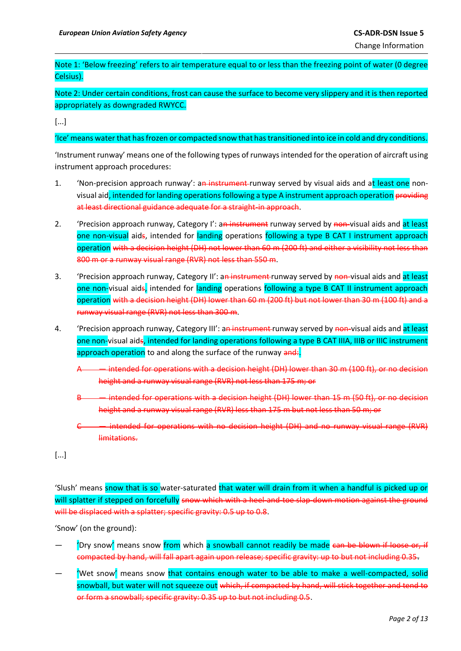Change Information

Note 1: 'Below freezing' refers to air temperature equal to or less than the freezing point of water (0 degree Celsius).

Note 2: Under certain conditions, frost can cause the surface to become very slippery and it is then reported appropriately as downgraded RWYCC.

[...]

'Ice' means water that has frozen or compacted snow that has transitioned into ice in cold and dry conditions.

'Instrument runway' means one of the following types of runways intended for the operation of aircraft using instrument approach procedures:

- 1. 'Non-precision approach runway': an instrument runway served by visual aids and at least one nonvisual aid, intended for landing operations following a type A instrument approach operation providing at least directional guidance adequate for a straight-in approach.
- 2. 'Precision approach runway, Category I': an instrument runway served by non-visual aids and at least one non-visual aids, intended for landing operations following a type B CAT I instrument approach operation with a decision height (DH) not lower than 60 m (200 ft) and either a visibility not less than 800 m or a runway visual range (RVR) not less than 550 m.
- 3. 'Precision approach runway, Category II': an instrument runway served by non-visual aids and at least one non-visual aids, intended for landing operations following a type B CAT II instrument approach operation with a decision height (DH) lower than 60 m (200 ft) but not lower than 30 m (100 ft) and a runway visual range (RVR) not less than 300 m.
- 4. 'Precision approach runway, Category III': an instrument runway served by non-visual aids and at least one non-visual aids, intended for landing operations following a type B CAT IIIA, IIIB or IIIC instrument approach operation to and along the surface of the runway and:
	- intended for operations with a decision height (DH) lower than 30 m (100 ft), or no decision height and a runway visual range (RVR) not less than 175 m; or
	- intended for operations with a decision height (DH) lower than 15 m (50 ft), or no decision height and a runway visual range (RVR) less than 175 m but not less than 50 m; or
	- intended for operations with no decision height (DH) and no runway visual range (RVR) limitations.

[...]

'Slush' means snow that is so water-saturated that water will drain from it when a handful is picked up or will splatter if stepped on forcefully snow which with a heel-and-toe slap-down motion against the ground will be displaced with a splatter; specific gravity: 0.5 up to 0.8.

'Snow' (on the ground):

- 'Dry snow' means snow from which a snowball cannot readily be made can be blown if loose or, if compacted by hand, will fall apart again upon release; specific gravity: up to but not including 0.35.
- 'Wet snow' means snow that contains enough water to be able to make a well-compacted, solid snowball, but water will not squeeze out which, if compacted by hand, will stick together and tend to or form a snowball; specific gravity: 0.35 up to but not including 0.5.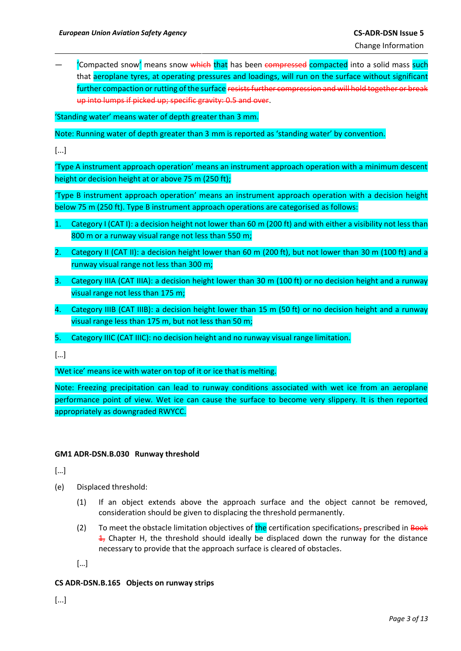Change Information

Compacted snow' means snow which that has been compressed compacted into a solid mass such that aeroplane tyres, at operating pressures and loadings, will run on the surface without significant further compaction or rutting of the surface resists further compression and will hold together or break up into lumps if picked up; specific gravity: 0.5 and over.

'Standing water' means water of depth greater than 3 mm.

Note: Running water of depth greater than 3 mm is reported as 'standing water' by convention.

[...]

'Type A instrument approach operation' means an instrument approach operation with a minimum descent height or decision height at or above 75 m (250 ft);

'Type B instrument approach operation' means an instrument approach operation with a decision height below 75 m (250 ft). Type B instrument approach operations are categorised as follows:

- 1. Category I (CAT I): a decision height not lower than 60 m (200 ft) and with either a visibility not less than 800 m or a runway visual range not less than 550 m;
- 2. Category II (CAT II): a decision height lower than 60 m (200 ft), but not lower than 30 m (100 ft) and a runway visual range not less than 300 m;
- 3. Category IIIA (CAT IIIA): a decision height lower than 30 m (100 ft) or no decision height and a runway visual range not less than 175 m;
- 4. Category IIIB (CAT IIIB): a decision height lower than 15 m (50 ft) or no decision height and a runway visual range less than 175 m, but not less than 50 m;
- 5. Category IIIC (CAT IIIC): no decision height and no runway visual range limitation.

[…]

'Wet ice' means ice with water on top of it or ice that is melting.

Note: Freezing precipitation can lead to runway conditions associated with wet ice from an aeroplane performance point of view. Wet ice can cause the surface to become very slippery. It is then reported appropriately as downgraded RWYCC.

## **GM1 ADR-DSN.B.030 Runway threshold**

[…]

- (e) Displaced threshold:
	- (1) If an object extends above the approach surface and the object cannot be removed, consideration should be given to displacing the threshold permanently.
	- (2) To meet the obstacle limitation objectives of the certification specifications<sub>7</sub> prescribed in Book  $\frac{1}{2}$ , Chapter H, the threshold should ideally be displaced down the runway for the distance necessary to provide that the approach surface is cleared of obstacles.

[…]

## **CS ADR-DSN.B.165 Objects on runway strips**

[...]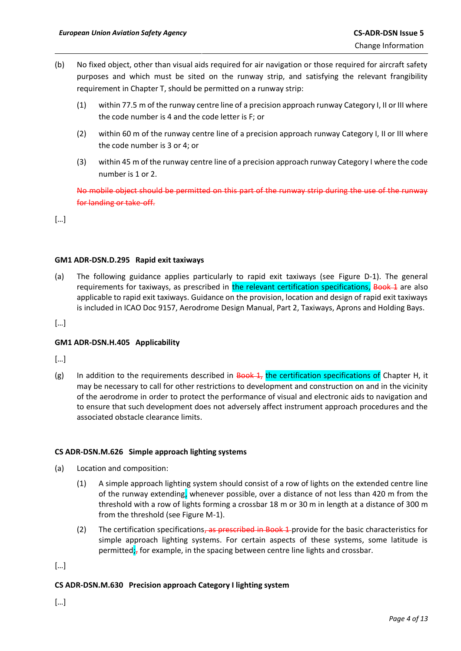- (b) No fixed object, other than visual aids required for air navigation or those required for aircraft safety purposes and which must be sited on the runway strip, and satisfying the relevant frangibility requirement in Chapter T, should be permitted on a runway strip:
	- (1) within 77.5 m of the runway centre line of a precision approach runway Category I, II or III where the code number is 4 and the code letter is F; or
	- (2) within 60 m of the runway centre line of a precision approach runway Category I, II or III where the code number is 3 or 4; or
	- (3) within 45 m of the runway centre line of a precision approach runway Category I where the code number is 1 or 2.

No mobile object should be permitted on this part of the runway strip during the for landing or take-off.

[…]

## **GM1 ADR-DSN.D.295 Rapid exit taxiways**

(a) The following guidance applies particularly to rapid exit taxiways (see Figure D-1). The general requirements for taxiways, as prescribed in the relevant certification specifications, Book 4 are also applicable to rapid exit taxiways. Guidance on the provision, location and design of rapid exit taxiways is included in ICAO Doc 9157, Aerodrome Design Manual, Part 2, Taxiways, Aprons and Holding Bays.

[…]

## **GM1 ADR-DSN.H.405 Applicability**

[…]

(g) In addition to the requirements described in  $\frac{B_0 - A}{A_0}$  the certification specifications of Chapter H, it may be necessary to call for other restrictions to development and construction on and in the vicinity of the aerodrome in order to protect the performance of visual and electronic aids to navigation and to ensure that such development does not adversely affect instrument approach procedures and the associated obstacle clearance limits.

#### **CS ADR-DSN.M.626 Simple approach lighting systems**

- (a) Location and composition:
	- (1) A simple approach lighting system should consist of a row of lights on the extended centre line of the runway extending, whenever possible, over a distance of not less than 420 m from the threshold with a row of lights forming a crossbar 18 m or 30 m in length at a distance of 300 m from the threshold (see Figure M-1).
	- (2) The certification specifications, as prescribed in Book 1-provide for the basic characteristics for simple approach lighting systems. For certain aspects of these systems, some latitude is permitted;<sub>r</sub> for example, in the spacing between centre line lights and crossbar.

[…]

## **CS ADR-DSN.M.630 Precision approach Category I lighting system**

[…]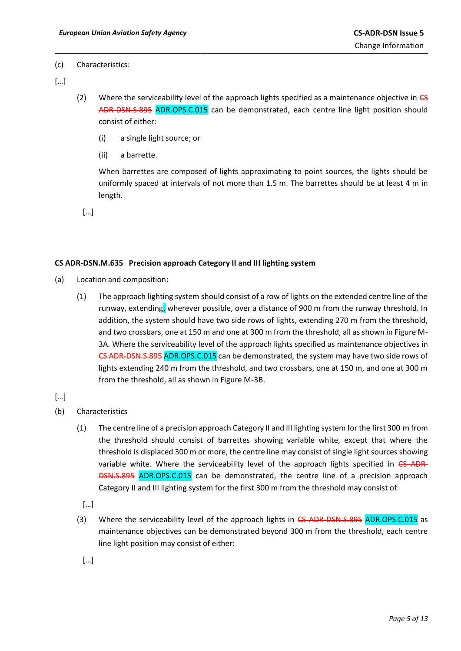## (c) Characteristics:

[…]

- (2) Where the serviceability level of the approach lights specified as a maintenance objective in  $\epsilon$ ADR-DSN.S.895 ADR.OPS.C.015 can be demonstrated, each centre line light position should consist of either:
	- (i) a single light source; or
	- (ii) a barrette.

When barrettes are composed of lights approximating to point sources, the lights should be uniformly spaced at intervals of not more than 1.5 m. The barrettes should be at least 4 m in length.

[…]

## **CS ADR-DSN.M.635 Precision approach Category II and III lighting system**

- (a) Location and composition:
	- (1) The approach lighting system should consist of a row of lights on the extended centre line of the runway, extending, wherever possible, over a distance of 900 m from the runway threshold. In addition, the system should have two side rows of lights, extending 270 m from the threshold, and two crossbars, one at 150 m and one at 300 m from the threshold, all as shown in Figure M-3A. Where the serviceability level of the approach lights specified as maintenance objectives in CS ADR-DSN.S.895 ADR.OPS.C.015 can be demonstrated, the system may have two side rows of lights extending 240 m from the threshold, and two crossbars, one at 150 m, and one at 300 m from the threshold, all as shown in Figure M-3B.
- […]
- (b) Characteristics
	- (1) The centre line of a precision approach Category II and III lighting system for the first 300 m from the threshold should consist of barrettes showing variable white, except that where the threshold is displaced 300 m or more, the centre line may consist of single light sources showing variable white. Where the serviceability level of the approach lights specified in  $C<sub>S</sub>$  ADR-DSN.S.895 ADR.OPS.C.015 can be demonstrated, the centre line of a precision approach Category II and III lighting system for the first 300 m from the threshold may consist of:
	- […]
	- (3) Where the serviceability level of the approach lights in CS ADR-DSN.S.895 ADR.OPS.C.015 as maintenance objectives can be demonstrated beyond 300 m from the threshold, each centre line light position may consist of either:
		- […]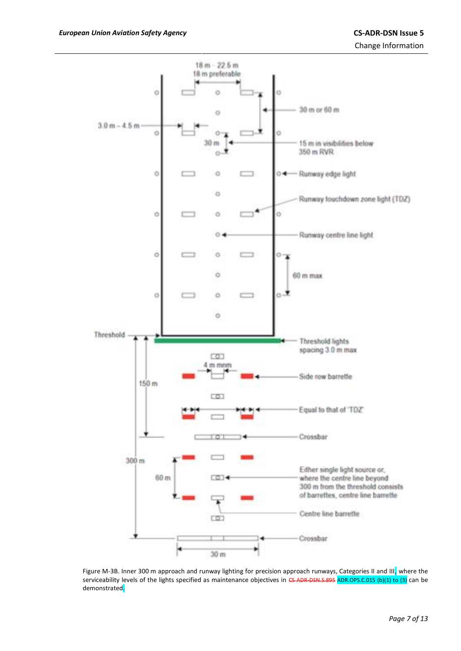

Figure M-3B. Inner 300 m approach and runway lighting for precision approach runways, Categories II and III, where the serviceability levels of the lights specified as maintenance objectives in <del>CS ADR DSN.S.895</del> ADR.OPS.C.015 (b)(1) to (3) can be demonstrated.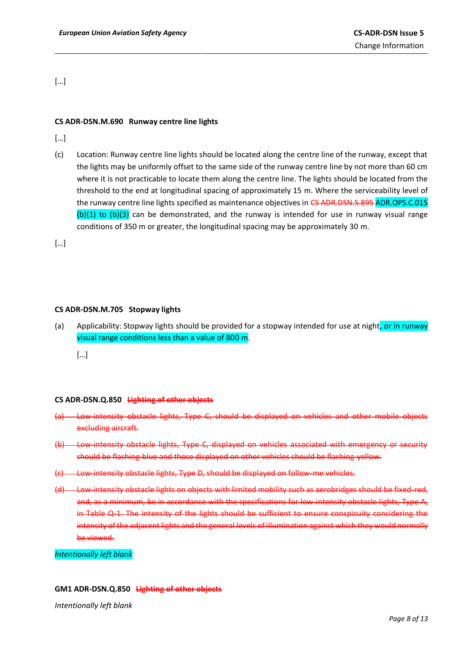[…]

#### **CS ADR-DSN.M.690 Runway centre line lights**

[…]

(c) Location: Runway centre line lights should be located along the centre line of the runway, except that the lights may be uniformly offset to the same side of the runway centre line by not more than 60 cm where it is not practicable to locate them along the centre line. The lights should be located from the threshold to the end at longitudinal spacing of approximately 15 m. Where the serviceability level of the runway centre line lights specified as maintenance objectives in CS ADR.DSN.S.895 ADR.OPS.C.015  $(b)(1)$  to  $(b)(3)$  can be demonstrated, and the runway is intended for use in runway visual range conditions of 350 m or greater, the longitudinal spacing may be approximately 30 m.

[…]

#### **CS ADR-DSN.M.705 Stopway lights**

(a) Applicability: Stopway lights should be provided for a stopway intended for use at night, or in runway visual range conditions less than a value of 800 m.

[…]

#### **CS ADR-DSN.Q.850 Lighting of other objects**

- intensity obstacle lights, Type C, should be displayed on vehicles and other excluding aircraft.
- Low-intensity obstacle lights, Type C, displayed on vehicles associated with should be flashing-blue and those displayed on other vehicles should be flashing-yellow.
- $\pm$ intensity obstacle lights, Type D, should be displayed on follow-me vehicles.
- Low-intensity obstacle lights on objects with limited mobility such as aerobridges should be fixed-red, , as a minimum, be in accordance with the specifications for low-intensity obstacle lights, Type A, in Table Q-1. The intensity of the lights should be sufficient to ensure conspicuity considering the intensity of the adjacent lights and the general levels of illumination against which they would normally be viewed.

*Intentionally left blank*

#### **GM1 ADR-DSN.Q.850 Lighting of other objects**

*Intentionally left blank*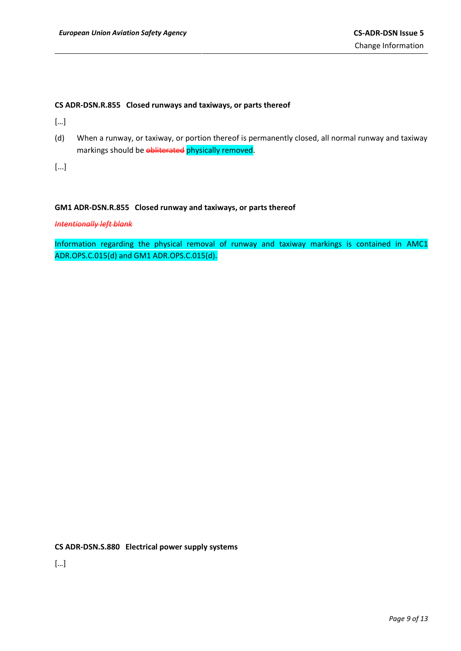## **CS ADR-DSN.R.855 Closed runways and taxiways, or parts thereof**

[…]

(d) When a runway, or taxiway, or portion thereof is permanently closed, all normal runway and taxiway markings should be *ebliterated* physically removed.

[...]

#### **GM1 ADR-DSN.R.855 Closed runway and taxiways, or parts thereof**

*Intentionally left blank* 

Information regarding the physical removal of runway and taxiway markings is contained in AMC1 ADR.OPS.C.015(d) and GM1 ADR.OPS.C.015(d).

**CS ADR-DSN.S.880 Electrical power supply systems**

[…]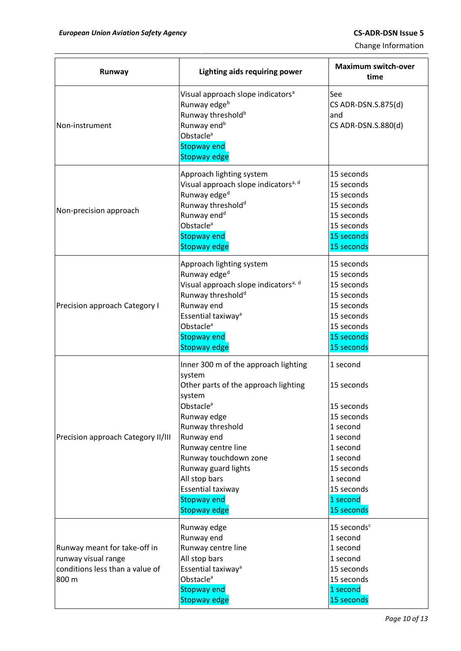| Runway                                                                                          | Lighting aids requiring power                                                                                                                                                                                                                                                                                                              | <b>Maximum switch-over</b><br>time                                                                                                                                   |
|-------------------------------------------------------------------------------------------------|--------------------------------------------------------------------------------------------------------------------------------------------------------------------------------------------------------------------------------------------------------------------------------------------------------------------------------------------|----------------------------------------------------------------------------------------------------------------------------------------------------------------------|
| Non-instrument                                                                                  | Visual approach slope indicators <sup>a</sup><br>Runway edge <sup>b</sup><br>Runway threshold <sup>b</sup><br>Runway end <sup>b</sup><br>Obstacle <sup>a</sup><br><b>Stopway end</b><br><b>Stopway edge</b>                                                                                                                                | See<br>CS ADR-DSN.S.875(d)<br>land<br>CS ADR-DSN.S.880(d)                                                                                                            |
| Non-precision approach                                                                          | Approach lighting system<br>Visual approach slope indicators <sup>a, d</sup><br>Runway edge <sup>d</sup><br>Runway threshold <sup>d</sup><br>Runway end <sup>d</sup><br>Obstacle <sup>a</sup><br><b>Stopway end</b><br>Stopway edge                                                                                                        | 15 seconds<br>15 seconds<br>15 seconds<br>15 seconds<br>15 seconds<br>15 seconds<br>15 seconds<br>15 seconds                                                         |
| Precision approach Category I                                                                   | Approach lighting system<br>Runway edge <sup>d</sup><br>Visual approach slope indicators <sup>a, d</sup><br>Runway threshold <sup>d</sup><br>Runway end<br>Essential taxiway <sup>a</sup><br>Obstacle <sup>a</sup><br><b>Stopway end</b><br><b>Stopway edge</b>                                                                            | 15 seconds<br>15 seconds<br>15 seconds<br>15 seconds<br>15 seconds<br>15 seconds<br>15 seconds<br>15 seconds<br>15 seconds                                           |
| Precision approach Category II/III                                                              | Inner 300 m of the approach lighting<br>system<br>Other parts of the approach lighting<br>system<br>Obstacle <sup>a</sup><br>Runway edge<br>Runway threshold<br>Runway end<br>Runway centre line<br>Runway touchdown zone<br>Runway guard lights<br>All stop bars<br><b>Essential taxiway</b><br><b>Stopway end</b><br><b>Stopway edge</b> | 1 second<br>15 seconds<br>15 seconds<br>15 seconds<br>1 second<br>1 second<br>1 second<br>1 second<br>15 seconds<br>1 second<br>15 seconds<br>1 second<br>15 seconds |
| Runway meant for take-off in<br>runway visual range<br>conditions less than a value of<br>800 m | Runway edge<br>Runway end<br>Runway centre line<br>All stop bars<br>Essential taxiway <sup>a</sup><br>Obstacle <sup>a</sup><br>Stopway end<br><b>Stopway edge</b>                                                                                                                                                                          | 15 seconds <sup>c</sup><br>1 second<br>1 second<br>1 second<br>15 seconds<br>15 seconds<br>1 second<br>15 seconds                                                    |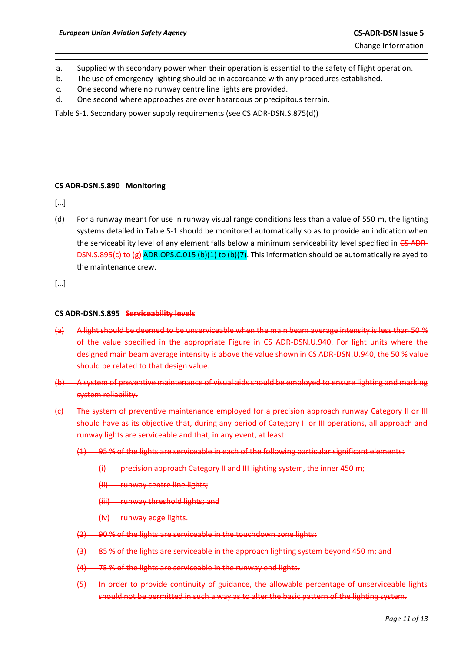- a. Supplied with secondary power when their operation is essential to the safety of flight operation.
- b. The use of emergency lighting should be in accordance with any procedures established.
- c. One second where no runway centre line lights are provided.
- d. One second where approaches are over hazardous or precipitous terrain.

Table S-1. Secondary power supply requirements (see CS ADR-DSN.S.875(d))

## **CS ADR-DSN.S.890 Monitoring**

[…]

(d) For a runway meant for use in runway visual range conditions less than a value of 550 m, the lighting systems detailed in Table S-1 should be monitored automatically so as to provide an indication when the serviceability level of any element falls below a minimum serviceability level specified in CS ADR-DSN.S.895(c) to (g) ADR.OPS.C.015 (b)(1) to (b)(7). This information should be automatically relayed to the maintenance crew.

[…]

### **CS ADR-DSN.S.895 Serviceability levels**

- (a) A light should be deemed to be unserviceable when the main beam average intensity is less than 50 % of the value specified in the appropriate Figure in CS ADR-DSN.U.940. For light units where the igned main beam average intensity is above the value shown in should be related to that design value.
- A system of preventive maintenance of visual aids should be employed to the marking  $\alpha$ system reliability.
- The system of preventive maintenance employed for a precision approach runway should have as its objective that, during any period of Category II or III operations runway lights are serviceable and that, in any even
	- ) are serviceable in each of the following particular significant significant significant significant significa
		- precision approach Category II and III lighting system, the inner 450 m;
		- runway centre line lights;
		- runway threshold lights; and
		- (iv) runway edge lights.
	- (2) 90 % of the lights are serviceable in the touchdown zone lights;
	- (3) 85 % of the lights are serviceable in the approach lighting system beyond 450 m; and
	- 75 % of the lights are serviceable in the runway end lights.
	- to provide continuity of guidance, the allowable percentage of uns should not be permitted in such a way as to alter the basic pattern of the lighting system.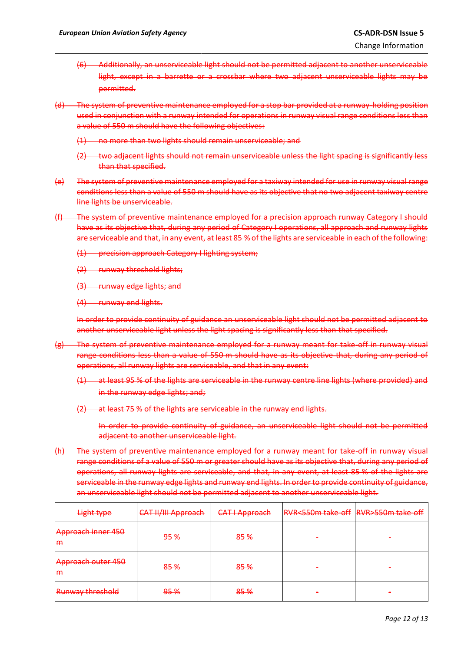- (6) Additionally, an unserviceable light should not be permitted adjacent to another unserviceable light, except in a barrette or a crossbar where two adjacent unserviceable lights may be permitted.
- (d) The system of preventive maintenance employed for a stop bar provided at a runway-holding position used in conjunction with a runway intended for operations in runway visual range conditions less than a value of 550 m should have the following objectives:
	- (1) no more than two lights should remain unserviceable; and
	- (2) two adjacent lights should not remain unserviceable unless the light spacing is significantly less than that specified.
- (e) The system of preventive maintenance employed for a taxiway intended for use in runway visual range conditions less than a value of 550 m should have as its objective that no two adjacent taxiway centre line lights be unserviceable.
- (f) The system of preventive maintenance employed for a precision approach runway Category I should have as its objective that, during any period of Category I operations, all approach and runway lights are serviceable and that, in any event, at least 85 % of the lights are serviceable in each of the following:
	- (1) precision approach Category I lighting system;
	- (2) runway threshold lights;
	- (3) runway edge lights; and
	- (4) runway end lights.

In order to provide continuity of guidance an unserviceable light should not be permitted adjacent to another unserviceable light unless the light spacing is significantly less than that specified.

- (g) The system of preventive maintenance employed for a runway meant for take-off in runway visual range conditions less than a value of 550 m should have as its objective that, during any period of operations, all runway lights are serviceable, and that in any event:
	- (1) at least 95 % of the lights are serviceable in the runway centre line lights (where provided) and in the runway edge lights; and;
	- (2) at least 75 % of the lights are serviceable in the runway end lights.

In order to provide continuity of guidance, an unserviceable light should not be permitted adjacent to another unserviceable light.

The system of preventive maintenance employed for a runway meant for take-off in runway visual range conditions of a value of 550 m or greater should have as its objective that, during any period of operations, all runway lights are serviceable, and that, in any event, at least 85 % of the lights are serviceable in the runway edge lights and runway end lights. In order to provide continuity of guidance, an unserviceable light should not be permitted adjacent to another unserviceable light.

| <b>Light type</b>                    | <b>CAT II/III Approach</b> | <b>CAT I Approach</b> | RVR<550m take-off RVR>550m take-off |  |
|--------------------------------------|----------------------------|-----------------------|-------------------------------------|--|
| Approach inner 450<br>$H^4$          | <del>95%</del>             | 85%                   |                                     |  |
| Approach outer 450<br>H <sup>2</sup> | 85%                        | <del>85%</del>        | $\overline{\phantom{a}}$            |  |
| <b>Runway threshold</b>              | <del>95%</del>             | <del>85%</del>        |                                     |  |